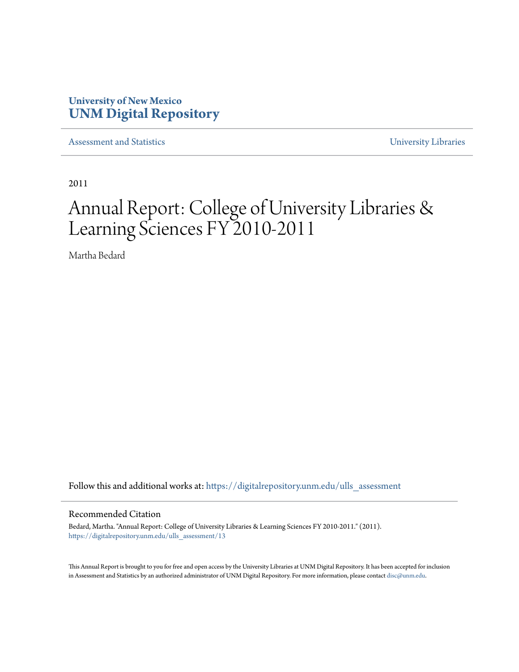# **University of New Mexico [UNM Digital Repository](https://digitalrepository.unm.edu?utm_source=digitalrepository.unm.edu%2Fulls_assessment%2F13&utm_medium=PDF&utm_campaign=PDFCoverPages)**

[Assessment and Statistics](https://digitalrepository.unm.edu/ulls_assessment?utm_source=digitalrepository.unm.edu%2Fulls_assessment%2F13&utm_medium=PDF&utm_campaign=PDFCoverPages) [University Libraries](https://digitalrepository.unm.edu/libraries?utm_source=digitalrepository.unm.edu%2Fulls_assessment%2F13&utm_medium=PDF&utm_campaign=PDFCoverPages)

2011

# Annual Report: College of University Libraries & Learning Sciences FY 2010-2011

Martha Bedard

Follow this and additional works at: [https://digitalrepository.unm.edu/ulls\\_assessment](https://digitalrepository.unm.edu/ulls_assessment?utm_source=digitalrepository.unm.edu%2Fulls_assessment%2F13&utm_medium=PDF&utm_campaign=PDFCoverPages)

#### Recommended Citation

Bedard, Martha. "Annual Report: College of University Libraries & Learning Sciences FY 2010-2011." (2011). [https://digitalrepository.unm.edu/ulls\\_assessment/13](https://digitalrepository.unm.edu/ulls_assessment/13?utm_source=digitalrepository.unm.edu%2Fulls_assessment%2F13&utm_medium=PDF&utm_campaign=PDFCoverPages)

This Annual Report is brought to you for free and open access by the University Libraries at UNM Digital Repository. It has been accepted for inclusion in Assessment and Statistics by an authorized administrator of UNM Digital Repository. For more information, please contact [disc@unm.edu.](mailto:disc@unm.edu)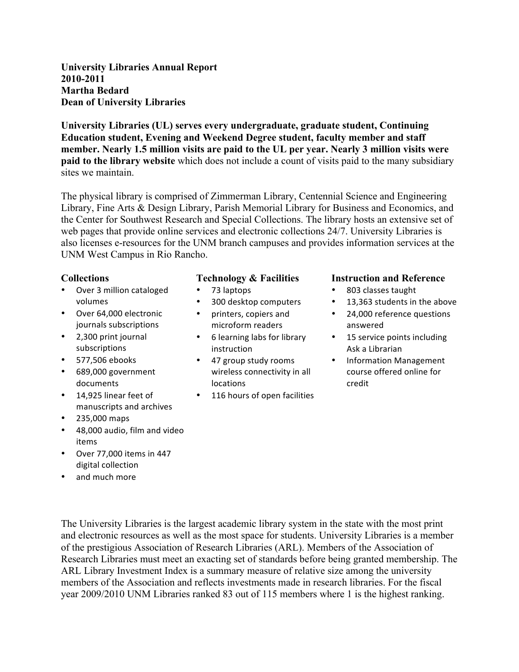**University Libraries Annual Report 2010-2011 Martha Bedard Dean of University Libraries**

**University Libraries (UL) serves every undergraduate, graduate student, Continuing Education student, Evening and Weekend Degree student, faculty member and staff member. Nearly 1.5 million visits are paid to the UL per year. Nearly 3 million visits were paid to the library website** which does not include a count of visits paid to the many subsidiary sites we maintain.

The physical library is comprised of Zimmerman Library, Centennial Science and Engineering Library, Fine Arts & Design Library, Parish Memorial Library for Business and Economics, and the Center for Southwest Research and Special Collections. The library hosts an extensive set of web pages that provide online services and electronic collections 24/7. University Libraries is also licenses e-resources for the UNM branch campuses and provides information services at the UNM West Campus in Rio Rancho.

#### **Collections**

- Over 3 million cataloged volumes
- Over 64,000 electronic journals subscriptions
- 2,300 print journal subscriptions
- 577,506 ebooks
- 689,000 government documents
- 14,925 linear feet of manuscripts and archives
- $235,000$  maps
- 48,000 audio, film and video items
- Over 77,000 items in 447 digital collection
- and much more

## **Technology & Facilities**

- 73 laptops
- 300 desktop computers
- printers, copiers and microform readers
- 6 learning labs for library instruction
- 47 group study rooms wireless connectivity in all locations
- 116 hours of open facilities

#### **Instruction and Reference**

- 803 classes taught
- 13,363 students in the above
- 24,000 reference questions answered
- 15 service points including Ask a Librarian
- Information Management course offered online for credit

The University Libraries is the largest academic library system in the state with the most print and electronic resources as well as the most space for students. University Libraries is a member of the prestigious Association of Research Libraries (ARL). Members of the Association of Research Libraries must meet an exacting set of standards before being granted membership. The ARL Library Investment Index is a summary measure of relative size among the university members of the Association and reflects investments made in research libraries. For the fiscal year 2009/2010 UNM Libraries ranked 83 out of 115 members where 1 is the highest ranking.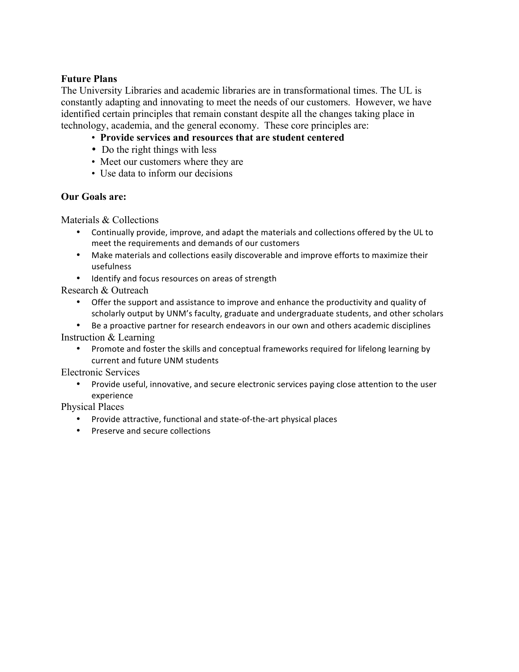## **Future Plans**

The University Libraries and academic libraries are in transformational times. The UL is constantly adapting and innovating to meet the needs of our customers. However, we have identified certain principles that remain constant despite all the changes taking place in technology, academia, and the general economy. These core principles are:

- **Provide services and resources that are student centered**
- Do the right things with less
- Meet our customers where they are
- Use data to inform our decisions

## **Our Goals are:**

Materials & Collections

- Continually provide, improve, and adapt the materials and collections offered by the UL to meet the requirements and demands of our customers
- Make materials and collections easily discoverable and improve efforts to maximize their usefulness
- Identify and focus resources on areas of strength

Research & Outreach

• Offer the support and assistance to improve and enhance the productivity and quality of scholarly output by UNM's faculty, graduate and undergraduate students, and other scholars

Be a proactive partner for research endeavors in our own and others academic disciplines Instruction & Learning

• Promote and foster the skills and conceptual frameworks required for lifelong learning by current and future UNM students

Electronic Services

• Provide useful, innovative, and secure electronic services paying close attention to the user experience

Physical Places

- Provide attractive, functional and state-of-the-art physical places
- Preserve and secure collections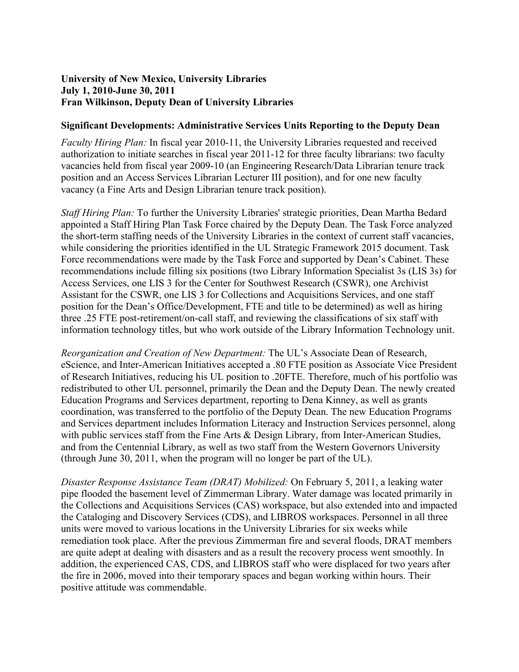## **University of New Mexico, University Libraries July 1, 2010-June 30, 2011 Fran Wilkinson, Deputy Dean of University Libraries**

#### **Significant Developments: Administrative Services Units Reporting to the Deputy Dean**

*Faculty Hiring Plan:* In fiscal year 2010-11, the University Libraries requested and received authorization to initiate searches in fiscal year 2011-12 for three faculty librarians: two faculty vacancies held from fiscal year 2009-10 (an Engineering Research/Data Librarian tenure track position and an Access Services Librarian Lecturer III position), and for one new faculty vacancy (a Fine Arts and Design Librarian tenure track position).

*Staff Hiring Plan:* To further the University Libraries' strategic priorities, Dean Martha Bedard appointed a Staff Hiring Plan Task Force chaired by the Deputy Dean. The Task Force analyzed the short-term staffing needs of the University Libraries in the context of current staff vacancies, while considering the priorities identified in the UL Strategic Framework 2015 document. Task Force recommendations were made by the Task Force and supported by Dean's Cabinet. These recommendations include filling six positions (two Library Information Specialist 3s (LIS 3s) for Access Services, one LIS 3 for the Center for Southwest Research (CSWR), one Archivist Assistant for the CSWR, one LIS 3 for Collections and Acquisitions Services, and one staff position for the Dean's Office/Development, FTE and title to be determined) as well as hiring three .25 FTE post-retirement/on-call staff, and reviewing the classifications of six staff with information technology titles, but who work outside of the Library Information Technology unit.

*Reorganization and Creation of New Department:* The UL's Associate Dean of Research, eScience, and Inter-American Initiatives accepted a .80 FTE position as Associate Vice President of Research Initiatives, reducing his UL position to .20FTE. Therefore, much of his portfolio was redistributed to other UL personnel, primarily the Dean and the Deputy Dean. The newly created Education Programs and Services department, reporting to Dena Kinney, as well as grants coordination, was transferred to the portfolio of the Deputy Dean. The new Education Programs and Services department includes Information Literacy and Instruction Services personnel, along with public services staff from the Fine Arts & Design Library, from Inter-American Studies, and from the Centennial Library, as well as two staff from the Western Governors University (through June 30, 2011, when the program will no longer be part of the UL).

*Disaster Response Assistance Team (DRAT) Mobilized:* On February 5, 2011, a leaking water pipe flooded the basement level of Zimmerman Library. Water damage was located primarily in the Collections and Acquisitions Services (CAS) workspace, but also extended into and impacted the Cataloging and Discovery Services (CDS), and LIBROS workspaces. Personnel in all three units were moved to various locations in the University Libraries for six weeks while remediation took place. After the previous Zimmerman fire and several floods, DRAT members are quite adept at dealing with disasters and as a result the recovery process went smoothly. In addition, the experienced CAS, CDS, and LIBROS staff who were displaced for two years after the fire in 2006, moved into their temporary spaces and began working within hours. Their positive attitude was commendable.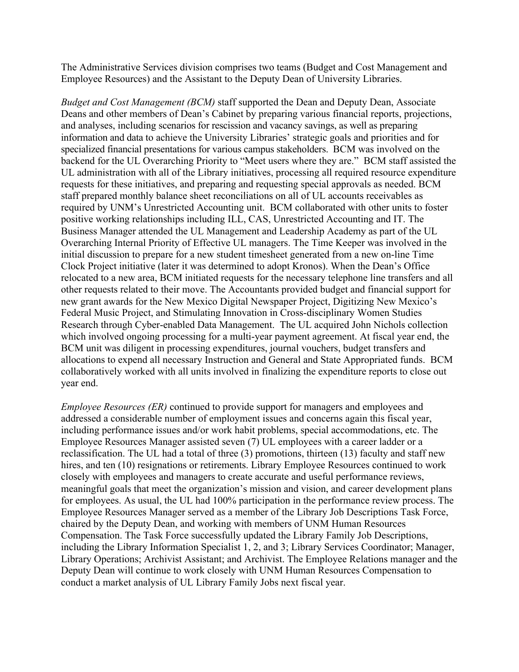The Administrative Services division comprises two teams (Budget and Cost Management and Employee Resources) and the Assistant to the Deputy Dean of University Libraries.

*Budget and Cost Management (BCM)* staff supported the Dean and Deputy Dean, Associate Deans and other members of Dean's Cabinet by preparing various financial reports, projections, and analyses, including scenarios for rescission and vacancy savings, as well as preparing information and data to achieve the University Libraries' strategic goals and priorities and for specialized financial presentations for various campus stakeholders. BCM was involved on the backend for the UL Overarching Priority to "Meet users where they are." BCM staff assisted the UL administration with all of the Library initiatives, processing all required resource expenditure requests for these initiatives, and preparing and requesting special approvals as needed. BCM staff prepared monthly balance sheet reconciliations on all of UL accounts receivables as required by UNM's Unrestricted Accounting unit. BCM collaborated with other units to foster positive working relationships including ILL, CAS, Unrestricted Accounting and IT. The Business Manager attended the UL Management and Leadership Academy as part of the UL Overarching Internal Priority of Effective UL managers. The Time Keeper was involved in the initial discussion to prepare for a new student timesheet generated from a new on-line Time Clock Project initiative (later it was determined to adopt Kronos). When the Dean's Office relocated to a new area, BCM initiated requests for the necessary telephone line transfers and all other requests related to their move. The Accountants provided budget and financial support for new grant awards for the New Mexico Digital Newspaper Project, Digitizing New Mexico's Federal Music Project, and Stimulating Innovation in Cross-disciplinary Women Studies Research through Cyber-enabled Data Management. The UL acquired John Nichols collection which involved ongoing processing for a multi-year payment agreement. At fiscal year end, the BCM unit was diligent in processing expenditures, journal vouchers, budget transfers and allocations to expend all necessary Instruction and General and State Appropriated funds. BCM collaboratively worked with all units involved in finalizing the expenditure reports to close out year end.

*Employee Resources (ER)* continued to provide support for managers and employees and addressed a considerable number of employment issues and concerns again this fiscal year, including performance issues and/or work habit problems, special accommodations, etc. The Employee Resources Manager assisted seven (7) UL employees with a career ladder or a reclassification. The UL had a total of three (3) promotions, thirteen (13) faculty and staff new hires, and ten (10) resignations or retirements. Library Employee Resources continued to work closely with employees and managers to create accurate and useful performance reviews, meaningful goals that meet the organization's mission and vision, and career development plans for employees. As usual, the UL had 100% participation in the performance review process. The Employee Resources Manager served as a member of the Library Job Descriptions Task Force, chaired by the Deputy Dean, and working with members of UNM Human Resources Compensation. The Task Force successfully updated the Library Family Job Descriptions, including the Library Information Specialist 1, 2, and 3; Library Services Coordinator; Manager, Library Operations; Archivist Assistant; and Archivist. The Employee Relations manager and the Deputy Dean will continue to work closely with UNM Human Resources Compensation to conduct a market analysis of UL Library Family Jobs next fiscal year.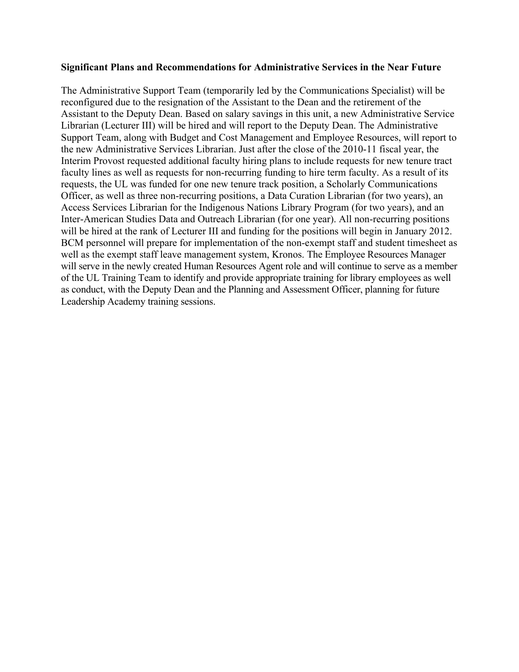#### **Significant Plans and Recommendations for Administrative Services in the Near Future**

The Administrative Support Team (temporarily led by the Communications Specialist) will be reconfigured due to the resignation of the Assistant to the Dean and the retirement of the Assistant to the Deputy Dean. Based on salary savings in this unit, a new Administrative Service Librarian (Lecturer III) will be hired and will report to the Deputy Dean. The Administrative Support Team, along with Budget and Cost Management and Employee Resources, will report to the new Administrative Services Librarian. Just after the close of the 2010-11 fiscal year, the Interim Provost requested additional faculty hiring plans to include requests for new tenure tract faculty lines as well as requests for non-recurring funding to hire term faculty. As a result of its requests, the UL was funded for one new tenure track position, a Scholarly Communications Officer, as well as three non-recurring positions, a Data Curation Librarian (for two years), an Access Services Librarian for the Indigenous Nations Library Program (for two years), and an Inter-American Studies Data and Outreach Librarian (for one year). All non-recurring positions will be hired at the rank of Lecturer III and funding for the positions will begin in January 2012. BCM personnel will prepare for implementation of the non-exempt staff and student timesheet as well as the exempt staff leave management system, Kronos. The Employee Resources Manager will serve in the newly created Human Resources Agent role and will continue to serve as a member of the UL Training Team to identify and provide appropriate training for library employees as well as conduct, with the Deputy Dean and the Planning and Assessment Officer, planning for future Leadership Academy training sessions.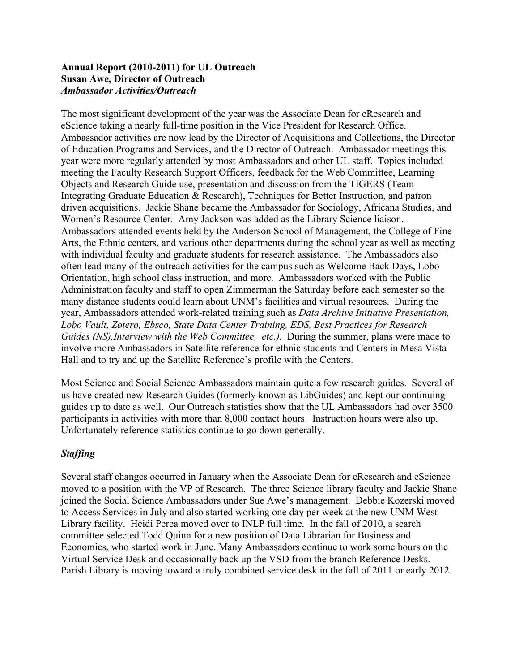## **Annual Report (2010-2011) for UL Outreach Susan Awe, Director of Outreach** *Ambassador Activities/Outreach*

The most significant development of the year was the Associate Dean for eResearch and eScience taking a nearly full-time position in the Vice President for Research Office. Ambassador activities are now lead by the Director of Acquisitions and Collections, the Director of Education Programs and Services, and the Director of Outreach. Ambassador meetings this year were more regularly attended by most Ambassadors and other UL staff. Topics included meeting the Faculty Research Support Officers, feedback for the Web Committee, Learning Objects and Research Guide use, presentation and discussion from the TIGERS (Team Integrating Graduate Education & Research), Techniques for Better Instruction, and patron driven acquisitions. Jackie Shane became the Ambassador for Sociology, Africana Studies, and Women's Resource Center. Amy Jackson was added as the Library Science liaison. Ambassadors attended events held by the Anderson School of Management, the College of Fine Arts, the Ethnic centers, and various other departments during the school year as well as meeting with individual faculty and graduate students for research assistance. The Ambassadors also often lead many of the outreach activities for the campus such as Welcome Back Days, Lobo Orientation, high school class instruction, and more. Ambassadors worked with the Public Administration faculty and staff to open Zimmerman the Saturday before each semester so the many distance students could learn about UNM's facilities and virtual resources. During the year, Ambassadors attended work-related training such as *Data Archive Initiative Presentation, Lobo Vault, Zotero, Ebsco, State Data Center Training, EDS, Best Practices for Research Guides (NS),Interview with the Web Committee, etc.).* During the summer, plans were made to involve more Ambassadors in Satellite reference for ethnic students and Centers in Mesa Vista Hall and to try and up the Satellite Reference's profile with the Centers.

Most Science and Social Science Ambassadors maintain quite a few research guides. Several of us have created new Research Guides (formerly known as LibGuides) and kept our continuing guides up to date as well. Our Outreach statistics show that the UL Ambassadors had over 3500 participants in activities with more than 8,000 contact hours. Instruction hours were also up. Unfortunately reference statistics continue to go down generally.

## *Staffing*

Several staff changes occurred in January when the Associate Dean for eResearch and eScience moved to a position with the VP of Research. The three Science library faculty and Jackie Shane joined the Social Science Ambassadors under Sue Awe's management. Debbie Kozerski moved to Access Services in July and also started working one day per week at the new UNM West Library facility. Heidi Perea moved over to INLP full time. In the fall of 2010, a search committee selected Todd Quinn for a new position of Data Librarian for Business and Economics, who started work in June. Many Ambassadors continue to work some hours on the Virtual Service Desk and occasionally back up the VSD from the branch Reference Desks. Parish Library is moving toward a truly combined service desk in the fall of 2011 or early 2012.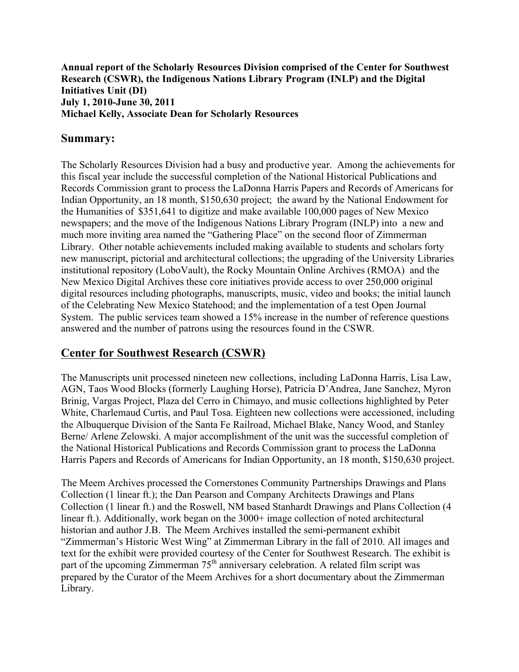**Annual report of the Scholarly Resources Division comprised of the Center for Southwest Research (CSWR), the Indigenous Nations Library Program (INLP) and the Digital Initiatives Unit (DI) July 1, 2010-June 30, 2011 Michael Kelly, Associate Dean for Scholarly Resources**

## **Summary:**

The Scholarly Resources Division had a busy and productive year. Among the achievements for this fiscal year include the successful completion of the National Historical Publications and Records Commission grant to process the LaDonna Harris Papers and Records of Americans for Indian Opportunity, an 18 month, \$150,630 project; the award by the National Endowment for the Humanities of \$351,641 to digitize and make available 100,000 pages of New Mexico newspapers; and the move of the Indigenous Nations Library Program (INLP) into a new and much more inviting area named the "Gathering Place" on the second floor of Zimmerman Library. Other notable achievements included making available to students and scholars forty new manuscript, pictorial and architectural collections; the upgrading of the University Libraries institutional repository (LoboVault), the Rocky Mountain Online Archives (RMOA) and the New Mexico Digital Archives these core initiatives provide access to over 250,000 original digital resources including photographs, manuscripts, music, video and books; the initial launch of the Celebrating New Mexico Statehood; and the implementation of a test Open Journal System. The public services team showed a 15% increase in the number of reference questions answered and the number of patrons using the resources found in the CSWR.

# **Center for Southwest Research (CSWR)**

The Manuscripts unit processed nineteen new collections, including LaDonna Harris, Lisa Law, AGN, Taos Wood Blocks (formerly Laughing Horse), Patricia D'Andrea, Jane Sanchez, Myron Brinig, Vargas Project, Plaza del Cerro in Chimayo, and music collections highlighted by Peter White, Charlemaud Curtis, and Paul Tosa. Eighteen new collections were accessioned, including the Albuquerque Division of the Santa Fe Railroad, Michael Blake, Nancy Wood, and Stanley Berne/ Arlene Zelowski. A major accomplishment of the unit was the successful completion of the National Historical Publications and Records Commission grant to process the LaDonna Harris Papers and Records of Americans for Indian Opportunity, an 18 month, \$150,630 project.

The Meem Archives processed the Cornerstones Community Partnerships Drawings and Plans Collection (1 linear ft.); the Dan Pearson and Company Architects Drawings and Plans Collection (1 linear ft.) and the Roswell, NM based Stanhardt Drawings and Plans Collection (4 linear ft.). Additionally, work began on the 3000+ image collection of noted architectural historian and author J.B. The Meem Archives installed the semi-permanent exhibit "Zimmerman's Historic West Wing" at Zimmerman Library in the fall of 2010. All images and text for the exhibit were provided courtesy of the Center for Southwest Research. The exhibit is part of the upcoming Zimmerman 75<sup>th</sup> anniversary celebration. A related film script was prepared by the Curator of the Meem Archives for a short documentary about the Zimmerman Library.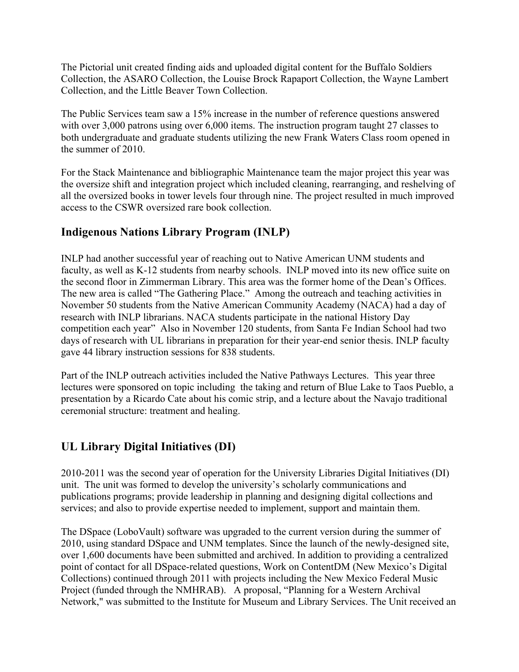The Pictorial unit created finding aids and uploaded digital content for the Buffalo Soldiers Collection, the ASARO Collection, the Louise Brock Rapaport Collection, the Wayne Lambert Collection, and the Little Beaver Town Collection.

The Public Services team saw a 15% increase in the number of reference questions answered with over 3,000 patrons using over 6,000 items. The instruction program taught 27 classes to both undergraduate and graduate students utilizing the new Frank Waters Class room opened in the summer of 2010.

For the Stack Maintenance and bibliographic Maintenance team the major project this year was the oversize shift and integration project which included cleaning, rearranging, and reshelving of all the oversized books in tower levels four through nine. The project resulted in much improved access to the CSWR oversized rare book collection.

# **Indigenous Nations Library Program (INLP)**

INLP had another successful year of reaching out to Native American UNM students and faculty, as well as K-12 students from nearby schools. INLP moved into its new office suite on the second floor in Zimmerman Library. This area was the former home of the Dean's Offices. The new area is called "The Gathering Place." Among the outreach and teaching activities in November 50 students from the Native American Community Academy (NACA) had a day of research with INLP librarians. NACA students participate in the national History Day competition each year" Also in November 120 students, from Santa Fe Indian School had two days of research with UL librarians in preparation for their year-end senior thesis. INLP faculty gave 44 library instruction sessions for 838 students.

Part of the INLP outreach activities included the Native Pathways Lectures. This year three lectures were sponsored on topic including the taking and return of Blue Lake to Taos Pueblo, a presentation by a Ricardo Cate about his comic strip, and a lecture about the Navajo traditional ceremonial structure: treatment and healing.

# **UL Library Digital Initiatives (DI)**

2010-2011 was the second year of operation for the University Libraries Digital Initiatives (DI) unit. The unit was formed to develop the university's scholarly communications and publications programs; provide leadership in planning and designing digital collections and services; and also to provide expertise needed to implement, support and maintain them.

The DSpace (LoboVault) software was upgraded to the current version during the summer of 2010, using standard DSpace and UNM templates. Since the launch of the newly-designed site, over 1,600 documents have been submitted and archived. In addition to providing a centralized point of contact for all DSpace-related questions, Work on ContentDM (New Mexico's Digital Collections) continued through 2011 with projects including the New Mexico Federal Music Project (funded through the NMHRAB). A proposal, "Planning for a Western Archival Network," was submitted to the Institute for Museum and Library Services. The Unit received an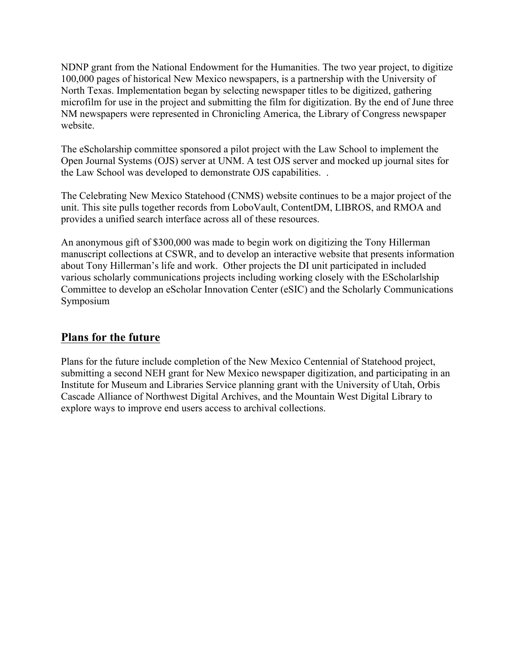NDNP grant from the National Endowment for the Humanities. The two year project, to digitize 100,000 pages of historical New Mexico newspapers, is a partnership with the University of North Texas. Implementation began by selecting newspaper titles to be digitized, gathering microfilm for use in the project and submitting the film for digitization. By the end of June three NM newspapers were represented in Chronicling America, the Library of Congress newspaper website.

The eScholarship committee sponsored a pilot project with the Law School to implement the Open Journal Systems (OJS) server at UNM. A test OJS server and mocked up journal sites for the Law School was developed to demonstrate OJS capabilities. .

The Celebrating New Mexico Statehood (CNMS) website continues to be a major project of the unit. This site pulls together records from LoboVault, ContentDM, LIBROS, and RMOA and provides a unified search interface across all of these resources.

An anonymous gift of \$300,000 was made to begin work on digitizing the Tony Hillerman manuscript collections at CSWR, and to develop an interactive website that presents information about Tony Hillerman's life and work. Other projects the DI unit participated in included various scholarly communications projects including working closely with the EScholarlship Committee to develop an eScholar Innovation Center (eSIC) and the Scholarly Communications Symposium

## **Plans for the future**

Plans for the future include completion of the New Mexico Centennial of Statehood project, submitting a second NEH grant for New Mexico newspaper digitization, and participating in an Institute for Museum and Libraries Service planning grant with the University of Utah, Orbis Cascade Alliance of Northwest Digital Archives, and the Mountain West Digital Library to explore ways to improve end users access to archival collections.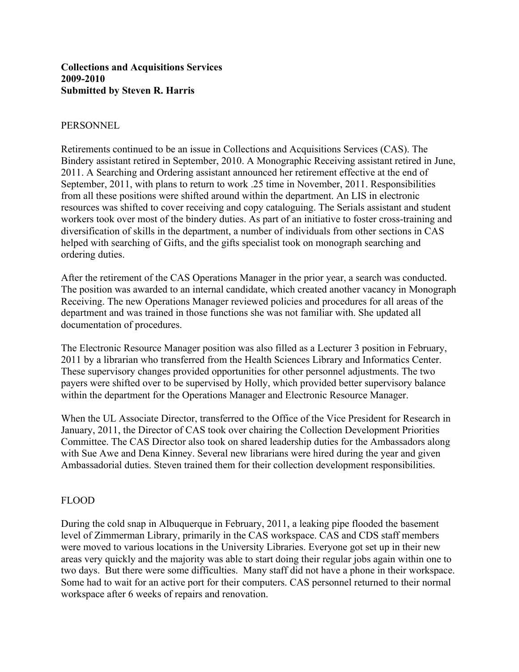## **Collections and Acquisitions Services 2009-2010 Submitted by Steven R. Harris**

#### PERSONNEL

Retirements continued to be an issue in Collections and Acquisitions Services (CAS). The Bindery assistant retired in September, 2010. A Monographic Receiving assistant retired in June, 2011. A Searching and Ordering assistant announced her retirement effective at the end of September, 2011, with plans to return to work .25 time in November, 2011. Responsibilities from all these positions were shifted around within the department. An LIS in electronic resources was shifted to cover receiving and copy cataloguing. The Serials assistant and student workers took over most of the bindery duties. As part of an initiative to foster cross-training and diversification of skills in the department, a number of individuals from other sections in CAS helped with searching of Gifts, and the gifts specialist took on monograph searching and ordering duties.

After the retirement of the CAS Operations Manager in the prior year, a search was conducted. The position was awarded to an internal candidate, which created another vacancy in Monograph Receiving. The new Operations Manager reviewed policies and procedures for all areas of the department and was trained in those functions she was not familiar with. She updated all documentation of procedures.

The Electronic Resource Manager position was also filled as a Lecturer 3 position in February, 2011 by a librarian who transferred from the Health Sciences Library and Informatics Center. These supervisory changes provided opportunities for other personnel adjustments. The two payers were shifted over to be supervised by Holly, which provided better supervisory balance within the department for the Operations Manager and Electronic Resource Manager.

When the UL Associate Director, transferred to the Office of the Vice President for Research in January, 2011, the Director of CAS took over chairing the Collection Development Priorities Committee. The CAS Director also took on shared leadership duties for the Ambassadors along with Sue Awe and Dena Kinney. Several new librarians were hired during the year and given Ambassadorial duties. Steven trained them for their collection development responsibilities.

## FLOOD

During the cold snap in Albuquerque in February, 2011, a leaking pipe flooded the basement level of Zimmerman Library, primarily in the CAS workspace. CAS and CDS staff members were moved to various locations in the University Libraries. Everyone got set up in their new areas very quickly and the majority was able to start doing their regular jobs again within one to two days. But there were some difficulties. Many staff did not have a phone in their workspace. Some had to wait for an active port for their computers. CAS personnel returned to their normal workspace after 6 weeks of repairs and renovation.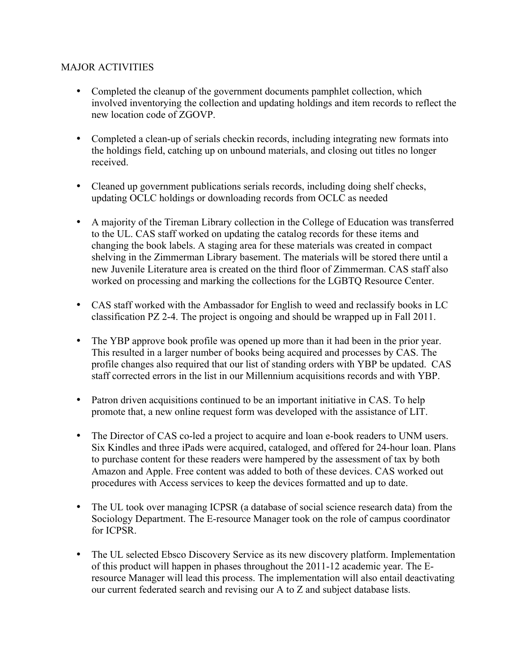## MAJOR ACTIVITIES

- Completed the cleanup of the government documents pamphlet collection, which involved inventorying the collection and updating holdings and item records to reflect the new location code of ZGOVP.
- Completed a clean-up of serials checkin records, including integrating new formats into the holdings field, catching up on unbound materials, and closing out titles no longer received.
- Cleaned up government publications serials records, including doing shelf checks, updating OCLC holdings or downloading records from OCLC as needed
- A majority of the Tireman Library collection in the College of Education was transferred to the UL. CAS staff worked on updating the catalog records for these items and changing the book labels. A staging area for these materials was created in compact shelving in the Zimmerman Library basement. The materials will be stored there until a new Juvenile Literature area is created on the third floor of Zimmerman. CAS staff also worked on processing and marking the collections for the LGBTQ Resource Center.
- CAS staff worked with the Ambassador for English to weed and reclassify books in LC classification PZ 2-4. The project is ongoing and should be wrapped up in Fall 2011.
- The YBP approve book profile was opened up more than it had been in the prior year. This resulted in a larger number of books being acquired and processes by CAS. The profile changes also required that our list of standing orders with YBP be updated. CAS staff corrected errors in the list in our Millennium acquisitions records and with YBP.
- Patron driven acquisitions continued to be an important initiative in CAS. To help promote that, a new online request form was developed with the assistance of LIT.
- The Director of CAS co-led a project to acquire and loan e-book readers to UNM users. Six Kindles and three iPads were acquired, cataloged, and offered for 24-hour loan. Plans to purchase content for these readers were hampered by the assessment of tax by both Amazon and Apple. Free content was added to both of these devices. CAS worked out procedures with Access services to keep the devices formatted and up to date.
- The UL took over managing ICPSR (a database of social science research data) from the Sociology Department. The E-resource Manager took on the role of campus coordinator for ICPSR.
- The UL selected Ebsco Discovery Service as its new discovery platform. Implementation of this product will happen in phases throughout the 2011-12 academic year. The Eresource Manager will lead this process. The implementation will also entail deactivating our current federated search and revising our A to Z and subject database lists.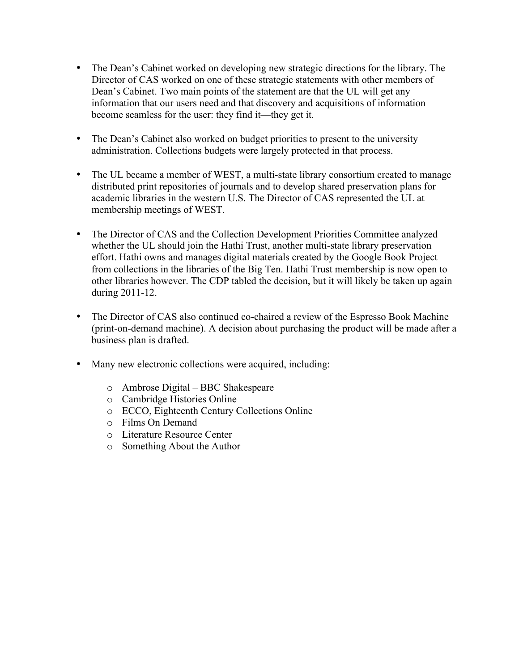- The Dean's Cabinet worked on developing new strategic directions for the library. The Director of CAS worked on one of these strategic statements with other members of Dean's Cabinet. Two main points of the statement are that the UL will get any information that our users need and that discovery and acquisitions of information become seamless for the user: they find it—they get it.
- The Dean's Cabinet also worked on budget priorities to present to the university administration. Collections budgets were largely protected in that process.
- The UL became a member of WEST, a multi-state library consortium created to manage distributed print repositories of journals and to develop shared preservation plans for academic libraries in the western U.S. The Director of CAS represented the UL at membership meetings of WEST.
- The Director of CAS and the Collection Development Priorities Committee analyzed whether the UL should join the Hathi Trust, another multi-state library preservation effort. Hathi owns and manages digital materials created by the Google Book Project from collections in the libraries of the Big Ten. Hathi Trust membership is now open to other libraries however. The CDP tabled the decision, but it will likely be taken up again during 2011-12.
- The Director of CAS also continued co-chaired a review of the Espresso Book Machine (print-on-demand machine). A decision about purchasing the product will be made after a business plan is drafted.
- Many new electronic collections were acquired, including:
	- o Ambrose Digital BBC Shakespeare
	- o Cambridge Histories Online
	- o ECCO, Eighteenth Century Collections Online
	- o Films On Demand
	- o Literature Resource Center
	- o Something About the Author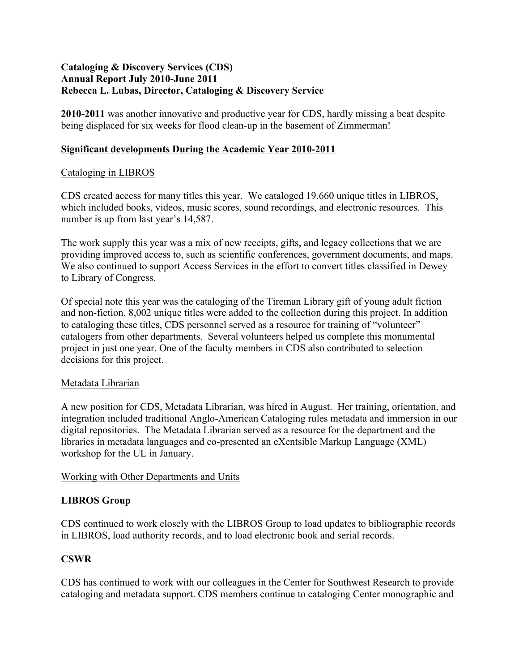## **Cataloging & Discovery Services (CDS) Annual Report July 2010-June 2011 Rebecca L. Lubas, Director, Cataloging & Discovery Service**

**2010-2011** was another innovative and productive year for CDS, hardly missing a beat despite being displaced for six weeks for flood clean-up in the basement of Zimmerman!

## **Significant developments During the Academic Year 2010-2011**

## Cataloging in LIBROS

CDS created access for many titles this year. We cataloged 19,660 unique titles in LIBROS, which included books, videos, music scores, sound recordings, and electronic resources. This number is up from last year's 14,587.

The work supply this year was a mix of new receipts, gifts, and legacy collections that we are providing improved access to, such as scientific conferences, government documents, and maps. We also continued to support Access Services in the effort to convert titles classified in Dewey to Library of Congress.

Of special note this year was the cataloging of the Tireman Library gift of young adult fiction and non-fiction. 8,002 unique titles were added to the collection during this project. In addition to cataloging these titles, CDS personnel served as a resource for training of "volunteer" catalogers from other departments. Several volunteers helped us complete this monumental project in just one year. One of the faculty members in CDS also contributed to selection decisions for this project.

## Metadata Librarian

A new position for CDS, Metadata Librarian, was hired in August. Her training, orientation, and integration included traditional Anglo-American Cataloging rules metadata and immersion in our digital repositories. The Metadata Librarian served as a resource for the department and the libraries in metadata languages and co-presented an eXentsible Markup Language (XML) workshop for the UL in January.

## Working with Other Departments and Units

## **LIBROS Group**

CDS continued to work closely with the LIBROS Group to load updates to bibliographic records in LIBROS, load authority records, and to load electronic book and serial records.

## **CSWR**

CDS has continued to work with our colleagues in the Center for Southwest Research to provide cataloging and metadata support. CDS members continue to cataloging Center monographic and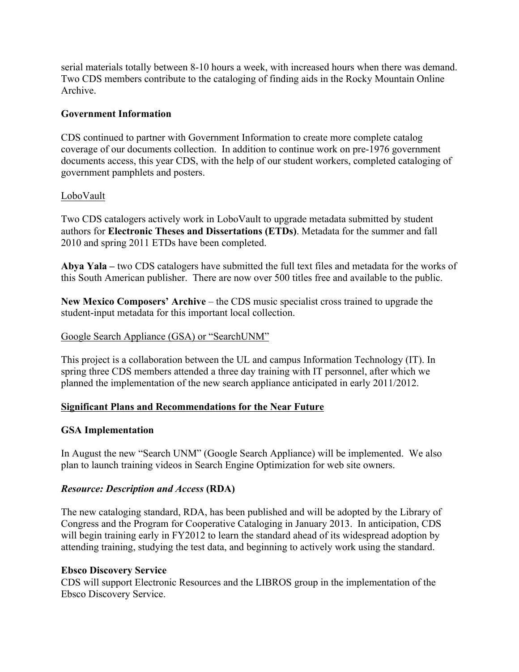serial materials totally between 8-10 hours a week, with increased hours when there was demand. Two CDS members contribute to the cataloging of finding aids in the Rocky Mountain Online Archive.

## **Government Information**

CDS continued to partner with Government Information to create more complete catalog coverage of our documents collection. In addition to continue work on pre-1976 government documents access, this year CDS, with the help of our student workers, completed cataloging of government pamphlets and posters.

## LoboVault

Two CDS catalogers actively work in LoboVault to upgrade metadata submitted by student authors for **Electronic Theses and Dissertations (ETDs)**. Metadata for the summer and fall 2010 and spring 2011 ETDs have been completed.

**Abya Yala –** two CDS catalogers have submitted the full text files and metadata for the works of this South American publisher. There are now over 500 titles free and available to the public.

**New Mexico Composers' Archive** – the CDS music specialist cross trained to upgrade the student-input metadata for this important local collection.

### Google Search Appliance (GSA) or "SearchUNM"

This project is a collaboration between the UL and campus Information Technology (IT). In spring three CDS members attended a three day training with IT personnel, after which we planned the implementation of the new search appliance anticipated in early 2011/2012.

## **Significant Plans and Recommendations for the Near Future**

#### **GSA Implementation**

In August the new "Search UNM" (Google Search Appliance) will be implemented. We also plan to launch training videos in Search Engine Optimization for web site owners.

#### *Resource: Description and Access* **(RDA)**

The new cataloging standard, RDA, has been published and will be adopted by the Library of Congress and the Program for Cooperative Cataloging in January 2013. In anticipation, CDS will begin training early in FY2012 to learn the standard ahead of its widespread adoption by attending training, studying the test data, and beginning to actively work using the standard.

#### **Ebsco Discovery Service**

CDS will support Electronic Resources and the LIBROS group in the implementation of the Ebsco Discovery Service.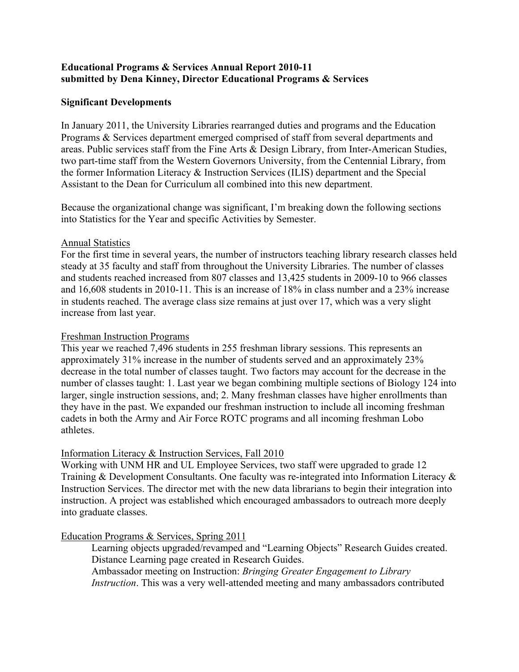## **Educational Programs & Services Annual Report 2010-11 submitted by Dena Kinney, Director Educational Programs & Services**

## **Significant Developments**

In January 2011, the University Libraries rearranged duties and programs and the Education Programs & Services department emerged comprised of staff from several departments and areas. Public services staff from the Fine Arts & Design Library, from Inter-American Studies, two part-time staff from the Western Governors University, from the Centennial Library, from the former Information Literacy & Instruction Services (ILIS) department and the Special Assistant to the Dean for Curriculum all combined into this new department.

Because the organizational change was significant, I'm breaking down the following sections into Statistics for the Year and specific Activities by Semester.

## Annual Statistics

For the first time in several years, the number of instructors teaching library research classes held steady at 35 faculty and staff from throughout the University Libraries. The number of classes and students reached increased from 807 classes and 13,425 students in 2009-10 to 966 classes and 16,608 students in 2010-11. This is an increase of 18% in class number and a 23% increase in students reached. The average class size remains at just over 17, which was a very slight increase from last year.

### Freshman Instruction Programs

This year we reached 7,496 students in 255 freshman library sessions. This represents an approximately 31% increase in the number of students served and an approximately 23% decrease in the total number of classes taught. Two factors may account for the decrease in the number of classes taught: 1. Last year we began combining multiple sections of Biology 124 into larger, single instruction sessions, and; 2. Many freshman classes have higher enrollments than they have in the past. We expanded our freshman instruction to include all incoming freshman cadets in both the Army and Air Force ROTC programs and all incoming freshman Lobo athletes.

## Information Literacy & Instruction Services, Fall 2010

Working with UNM HR and UL Employee Services, two staff were upgraded to grade 12 Training & Development Consultants. One faculty was re-integrated into Information Literacy & Instruction Services. The director met with the new data librarians to begin their integration into instruction. A project was established which encouraged ambassadors to outreach more deeply into graduate classes.

## Education Programs & Services, Spring 2011

Learning objects upgraded/revamped and "Learning Objects" Research Guides created. Distance Learning page created in Research Guides.

Ambassador meeting on Instruction: *Bringing Greater Engagement to Library Instruction*. This was a very well-attended meeting and many ambassadors contributed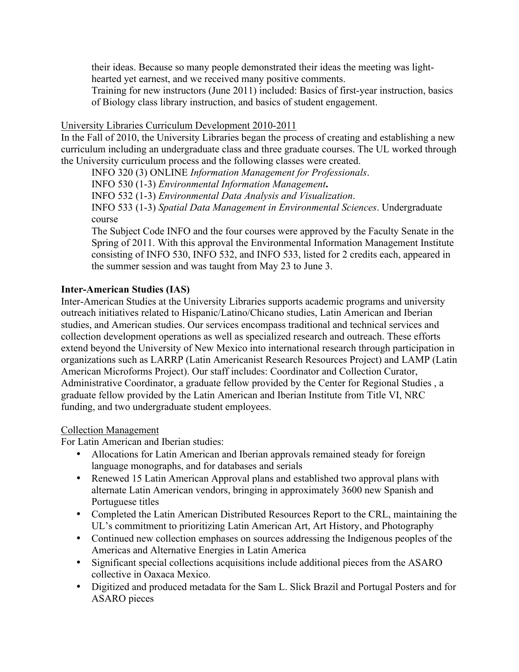their ideas. Because so many people demonstrated their ideas the meeting was lighthearted yet earnest, and we received many positive comments.

Training for new instructors (June 2011) included: Basics of first-year instruction, basics of Biology class library instruction, and basics of student engagement.

### University Libraries Curriculum Development 2010-2011

In the Fall of 2010, the University Libraries began the process of creating and establishing a new curriculum including an undergraduate class and three graduate courses. The UL worked through the University curriculum process and the following classes were created.

INFO 320 (3) ONLINE *Information Management for Professionals*.

INFO 530 (1-3) *Environmental Information Management***.**

INFO 532 (1-3) *Environmental Data Analysis and Visualization*.

INFO 533 (1-3) *Spatial Data Management in Environmental Sciences*. Undergraduate course

The Subject Code INFO and the four courses were approved by the Faculty Senate in the Spring of 2011. With this approval the Environmental Information Management Institute consisting of INFO 530, INFO 532, and INFO 533, listed for 2 credits each, appeared in the summer session and was taught from May 23 to June 3.

## **Inter-American Studies (IAS)**

Inter-American Studies at the University Libraries supports academic programs and university outreach initiatives related to Hispanic/Latino/Chicano studies, Latin American and Iberian studies, and American studies. Our services encompass traditional and technical services and collection development operations as well as specialized research and outreach. These efforts extend beyond the University of New Mexico into international research through participation in organizations such as LARRP (Latin Americanist Research Resources Project) and LAMP (Latin American Microforms Project). Our staff includes: Coordinator and Collection Curator, Administrative Coordinator, a graduate fellow provided by the Center for Regional Studies , a graduate fellow provided by the Latin American and Iberian Institute from Title VI, NRC funding, and two undergraduate student employees.

#### Collection Management

For Latin American and Iberian studies:

- Allocations for Latin American and Iberian approvals remained steady for foreign language monographs, and for databases and serials
- Renewed 15 Latin American Approval plans and established two approval plans with alternate Latin American vendors, bringing in approximately 3600 new Spanish and Portuguese titles
- Completed the Latin American Distributed Resources Report to the CRL, maintaining the UL's commitment to prioritizing Latin American Art, Art History, and Photography
- Continued new collection emphases on sources addressing the Indigenous peoples of the Americas and Alternative Energies in Latin America
- Significant special collections acquisitions include additional pieces from the ASARO collective in Oaxaca Mexico.
- Digitized and produced metadata for the Sam L. Slick Brazil and Portugal Posters and for ASARO pieces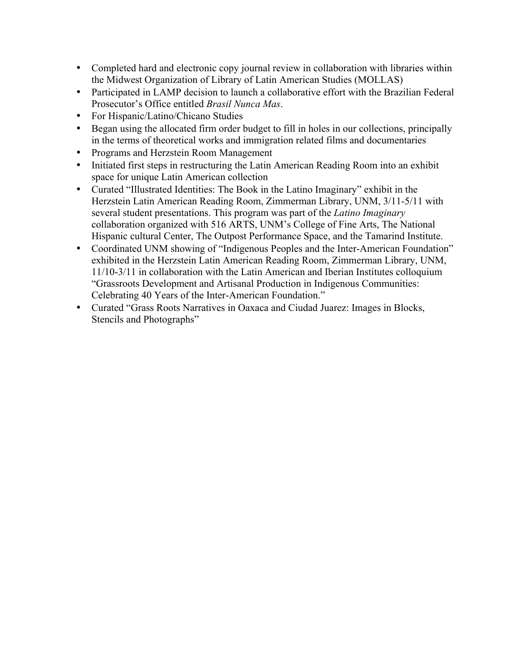- Completed hard and electronic copy journal review in collaboration with libraries within the Midwest Organization of Library of Latin American Studies (MOLLAS)
- Participated in LAMP decision to launch a collaborative effort with the Brazilian Federal Prosecutor's Office entitled *Brasil Nunca Mas*.
- For Hispanic/Latino/Chicano Studies
- Began using the allocated firm order budget to fill in holes in our collections, principally in the terms of theoretical works and immigration related films and documentaries
- Programs and Herzstein Room Management
- Initiated first steps in restructuring the Latin American Reading Room into an exhibit space for unique Latin American collection
- Curated "Illustrated Identities: The Book in the Latino Imaginary" exhibit in the Herzstein Latin American Reading Room, Zimmerman Library, UNM, 3/11-5/11 with several student presentations. This program was part of the *Latino Imaginary* collaboration organized with 516 ARTS, UNM's College of Fine Arts, The National Hispanic cultural Center, The Outpost Performance Space, and the Tamarind Institute.
- Coordinated UNM showing of "Indigenous Peoples and the Inter-American Foundation" exhibited in the Herzstein Latin American Reading Room, Zimmerman Library, UNM, 11/10-3/11 in collaboration with the Latin American and Iberian Institutes colloquium "Grassroots Development and Artisanal Production in Indigenous Communities: Celebrating 40 Years of the Inter-American Foundation."
- Curated "Grass Roots Narratives in Oaxaca and Ciudad Juarez: Images in Blocks, Stencils and Photographs"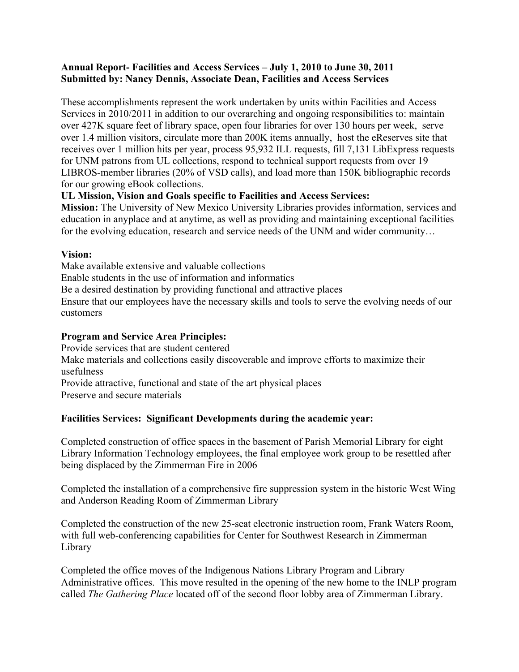## **Annual Report- Facilities and Access Services – July 1, 2010 to June 30, 2011 Submitted by: Nancy Dennis, Associate Dean, Facilities and Access Services**

These accomplishments represent the work undertaken by units within Facilities and Access Services in 2010/2011 in addition to our overarching and ongoing responsibilities to: maintain over 427K square feet of library space, open four libraries for over 130 hours per week, serve over 1.4 million visitors, circulate more than 200K items annually, host the eReserves site that receives over 1 million hits per year, process 95,932 ILL requests, fill 7,131 LibExpress requests for UNM patrons from UL collections, respond to technical support requests from over 19 LIBROS-member libraries (20% of VSD calls), and load more than 150K bibliographic records for our growing eBook collections.

## **UL Mission, Vision and Goals specific to Facilities and Access Services:**

**Mission:** The University of New Mexico University Libraries provides information, services and education in anyplace and at anytime, as well as providing and maintaining exceptional facilities for the evolving education, research and service needs of the UNM and wider community…

## **Vision:**

Make available extensive and valuable collections

Enable students in the use of information and informatics

Be a desired destination by providing functional and attractive places

Ensure that our employees have the necessary skills and tools to serve the evolving needs of our customers

## **Program and Service Area Principles:**

Provide services that are student centered Make materials and collections easily discoverable and improve efforts to maximize their usefulness Provide attractive, functional and state of the art physical places Preserve and secure materials

## **Facilities Services: Significant Developments during the academic year:**

Completed construction of office spaces in the basement of Parish Memorial Library for eight Library Information Technology employees, the final employee work group to be resettled after being displaced by the Zimmerman Fire in 2006

Completed the installation of a comprehensive fire suppression system in the historic West Wing and Anderson Reading Room of Zimmerman Library

Completed the construction of the new 25-seat electronic instruction room, Frank Waters Room, with full web-conferencing capabilities for Center for Southwest Research in Zimmerman Library

Completed the office moves of the Indigenous Nations Library Program and Library Administrative offices. This move resulted in the opening of the new home to the INLP program called *The Gathering Place* located off of the second floor lobby area of Zimmerman Library.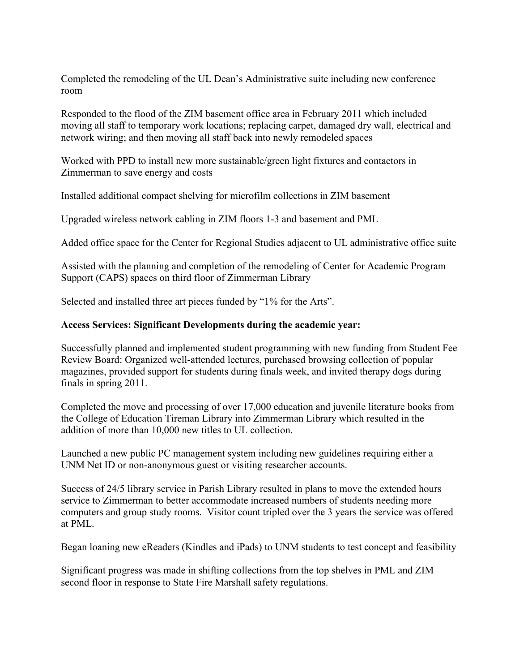Completed the remodeling of the UL Dean's Administrative suite including new conference room

Responded to the flood of the ZIM basement office area in February 2011 which included moving all staff to temporary work locations; replacing carpet, damaged dry wall, electrical and network wiring; and then moving all staff back into newly remodeled spaces

Worked with PPD to install new more sustainable/green light fixtures and contactors in Zimmerman to save energy and costs

Installed additional compact shelving for microfilm collections in ZIM basement

Upgraded wireless network cabling in ZIM floors 1-3 and basement and PML

Added office space for the Center for Regional Studies adjacent to UL administrative office suite

Assisted with the planning and completion of the remodeling of Center for Academic Program Support (CAPS) spaces on third floor of Zimmerman Library

Selected and installed three art pieces funded by "1% for the Arts".

## **Access Services: Significant Developments during the academic year:**

Successfully planned and implemented student programming with new funding from Student Fee Review Board: Organized well-attended lectures, purchased browsing collection of popular magazines, provided support for students during finals week, and invited therapy dogs during finals in spring 2011.

Completed the move and processing of over 17,000 education and juvenile literature books from the College of Education Tireman Library into Zimmerman Library which resulted in the addition of more than 10,000 new titles to UL collection.

Launched a new public PC management system including new guidelines requiring either a UNM Net ID or non-anonymous guest or visiting researcher accounts.

Success of 24/5 library service in Parish Library resulted in plans to move the extended hours service to Zimmerman to better accommodate increased numbers of students needing more computers and group study rooms. Visitor count tripled over the 3 years the service was offered at PML.

Began loaning new eReaders (Kindles and iPads) to UNM students to test concept and feasibility

Significant progress was made in shifting collections from the top shelves in PML and ZIM second floor in response to State Fire Marshall safety regulations.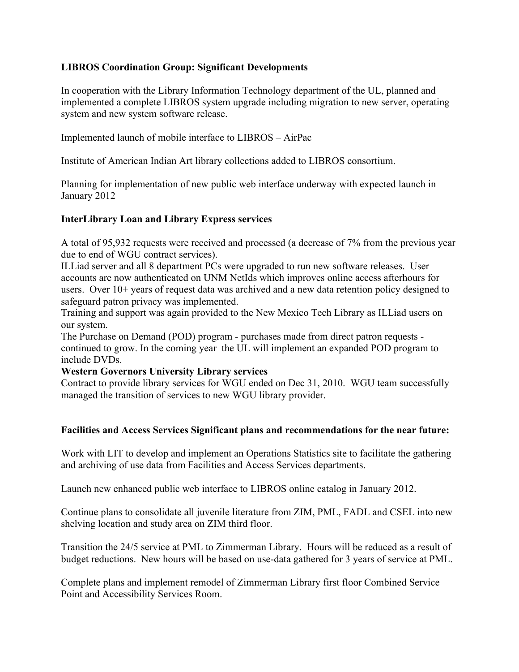## **LIBROS Coordination Group: Significant Developments**

In cooperation with the Library Information Technology department of the UL, planned and implemented a complete LIBROS system upgrade including migration to new server, operating system and new system software release.

Implemented launch of mobile interface to LIBROS – AirPac

Institute of American Indian Art library collections added to LIBROS consortium.

Planning for implementation of new public web interface underway with expected launch in January 2012

## **InterLibrary Loan and Library Express services**

A total of 95,932 requests were received and processed (a decrease of 7% from the previous year due to end of WGU contract services).

ILLiad server and all 8 department PCs were upgraded to run new software releases. User accounts are now authenticated on UNM NetIds which improves online access afterhours for users. Over 10+ years of request data was archived and a new data retention policy designed to safeguard patron privacy was implemented.

Training and support was again provided to the New Mexico Tech Library as ILLiad users on our system.

The Purchase on Demand (POD) program - purchases made from direct patron requests continued to grow. In the coming year the UL will implement an expanded POD program to include DVDs.

#### **Western Governors University Library services**

Contract to provide library services for WGU ended on Dec 31, 2010. WGU team successfully managed the transition of services to new WGU library provider.

#### **Facilities and Access Services Significant plans and recommendations for the near future:**

Work with LIT to develop and implement an Operations Statistics site to facilitate the gathering and archiving of use data from Facilities and Access Services departments.

Launch new enhanced public web interface to LIBROS online catalog in January 2012.

Continue plans to consolidate all juvenile literature from ZIM, PML, FADL and CSEL into new shelving location and study area on ZIM third floor.

Transition the 24/5 service at PML to Zimmerman Library. Hours will be reduced as a result of budget reductions. New hours will be based on use-data gathered for 3 years of service at PML.

Complete plans and implement remodel of Zimmerman Library first floor Combined Service Point and Accessibility Services Room.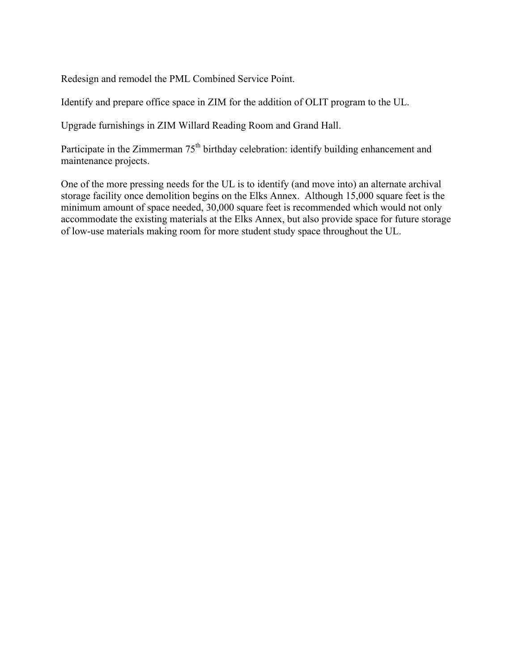Redesign and remodel the PML Combined Service Point.

Identify and prepare office space in ZIM for the addition of OLIT program to the UL.

Upgrade furnishings in ZIM Willard Reading Room and Grand Hall.

Participate in the Zimmerman 75<sup>th</sup> birthday celebration: identify building enhancement and maintenance projects.

One of the more pressing needs for the UL is to identify (and move into) an alternate archival storage facility once demolition begins on the Elks Annex. Although 15,000 square feet is the minimum amount of space needed, 30,000 square feet is recommended which would not only accommodate the existing materials at the Elks Annex, but also provide space for future storage of low-use materials making room for more student study space throughout the UL.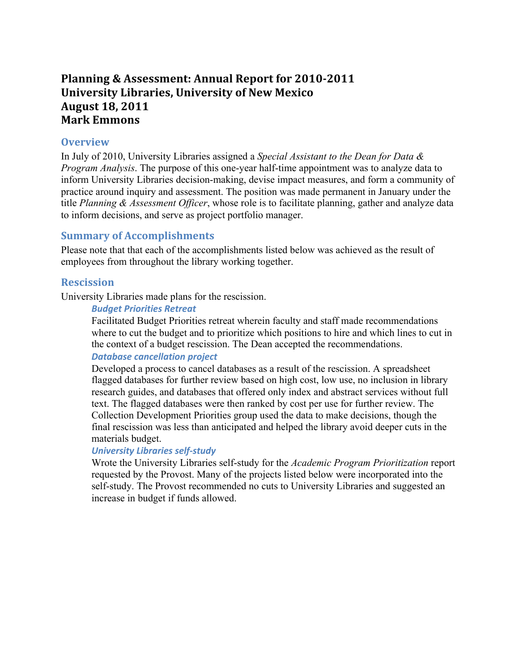# **Planning & Assessment: Annual Report for 2010-2011 University Libraries, University of New Mexico August 18, 2011 Mark Emmons**

#### **Overview**

In July of 2010, University Libraries assigned a *Special Assistant to the Dean for Data & Program Analysis*. The purpose of this one-year half-time appointment was to analyze data to inform University Libraries decision-making, devise impact measures, and form a community of practice around inquiry and assessment. The position was made permanent in January under the title *Planning & Assessment Officer*, whose role is to facilitate planning, gather and analyze data to inform decisions, and serve as project portfolio manager.

## **Summary of Accomplishments**

Please note that that each of the accomplishments listed below was achieved as the result of employees from throughout the library working together.

## **Rescission**

University Libraries made plans for the rescission.

#### *Budget Priorities Retreat*

Facilitated Budget Priorities retreat wherein faculty and staff made recommendations where to cut the budget and to prioritize which positions to hire and which lines to cut in the context of a budget rescission. The Dean accepted the recommendations.

## **Database cancellation project**

Developed a process to cancel databases as a result of the rescission. A spreadsheet flagged databases for further review based on high cost, low use, no inclusion in library research guides, and databases that offered only index and abstract services without full text. The flagged databases were then ranked by cost per use for further review. The Collection Development Priorities group used the data to make decisions, though the final rescission was less than anticipated and helped the library avoid deeper cuts in the materials budget.

#### *University Libraries self-study*

Wrote the University Libraries self-study for the *Academic Program Prioritization* report requested by the Provost. Many of the projects listed below were incorporated into the self-study. The Provost recommended no cuts to University Libraries and suggested an increase in budget if funds allowed.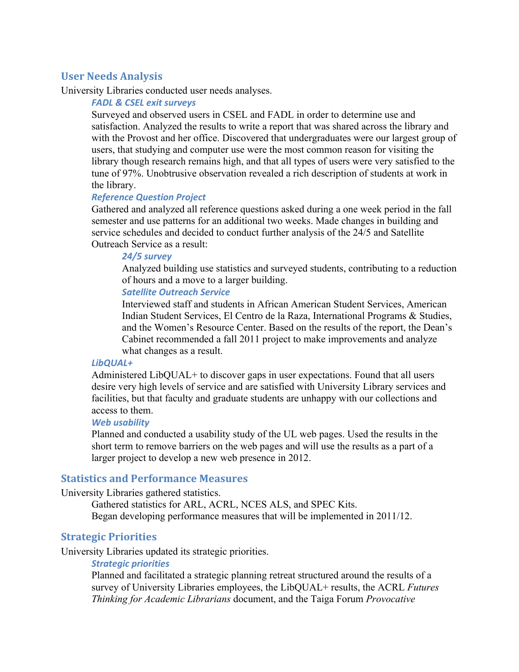## **User Needs Analysis**

University Libraries conducted user needs analyses.

#### *FADL & CSEL exit surveys*

Surveyed and observed users in CSEL and FADL in order to determine use and satisfaction. Analyzed the results to write a report that was shared across the library and with the Provost and her office. Discovered that undergraduates were our largest group of users, that studying and computer use were the most common reason for visiting the library though research remains high, and that all types of users were very satisfied to the tune of 97%. Unobtrusive observation revealed a rich description of students at work in the library.

#### *Reference Question Project*

Gathered and analyzed all reference questions asked during a one week period in the fall semester and use patterns for an additional two weeks. Made changes in building and service schedules and decided to conduct further analysis of the 24/5 and Satellite Outreach Service as a result:

#### *24/5 survey*

Analyzed building use statistics and surveyed students, contributing to a reduction of hours and a move to a larger building.

#### *Satellite Outreach Service*

Interviewed staff and students in African American Student Services, American Indian Student Services, El Centro de la Raza, International Programs & Studies, and the Women's Resource Center. Based on the results of the report, the Dean's Cabinet recommended a fall 2011 project to make improvements and analyze what changes as a result.

#### *LibQUAL+*

Administered LibQUAL+ to discover gaps in user expectations. Found that all users desire very high levels of service and are satisfied with University Library services and facilities, but that faculty and graduate students are unhappy with our collections and access to them.

#### *Web usability*

Planned and conducted a usability study of the UL web pages. Used the results in the short term to remove barriers on the web pages and will use the results as a part of a larger project to develop a new web presence in 2012.

#### **Statistics and Performance Measures**

University Libraries gathered statistics.

Gathered statistics for ARL, ACRL, NCES ALS, and SPEC Kits. Began developing performance measures that will be implemented in 2011/12.

## **Strategic Priorities**

University Libraries updated its strategic priorities.

#### **Strategic priorities**

Planned and facilitated a strategic planning retreat structured around the results of a survey of University Libraries employees, the LibQUAL+ results, the ACRL *Futures Thinking for Academic Librarians* document, and the Taiga Forum *Provocative*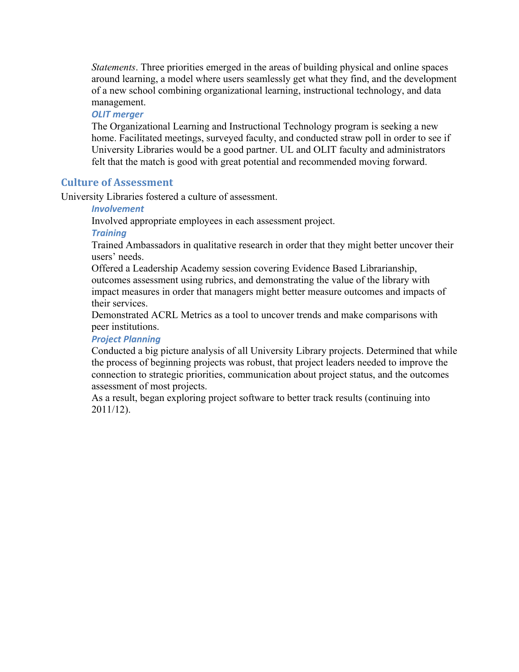*Statements*. Three priorities emerged in the areas of building physical and online spaces around learning, a model where users seamlessly get what they find, and the development of a new school combining organizational learning, instructional technology, and data management.

## **OLIT** merger

The Organizational Learning and Instructional Technology program is seeking a new home. Facilitated meetings, surveyed faculty, and conducted straw poll in order to see if University Libraries would be a good partner. UL and OLIT faculty and administrators felt that the match is good with great potential and recommended moving forward.

## **Culture of Assessment**

University Libraries fostered a culture of assessment.

#### *Involvement*

Involved appropriate employees in each assessment project.

#### *Training*

Trained Ambassadors in qualitative research in order that they might better uncover their users' needs.

Offered a Leadership Academy session covering Evidence Based Librarianship, outcomes assessment using rubrics, and demonstrating the value of the library with impact measures in order that managers might better measure outcomes and impacts of their services.

Demonstrated ACRL Metrics as a tool to uncover trends and make comparisons with peer institutions.

### *Project Planning*

Conducted a big picture analysis of all University Library projects. Determined that while the process of beginning projects was robust, that project leaders needed to improve the connection to strategic priorities, communication about project status, and the outcomes assessment of most projects.

As a result, began exploring project software to better track results (continuing into 2011/12).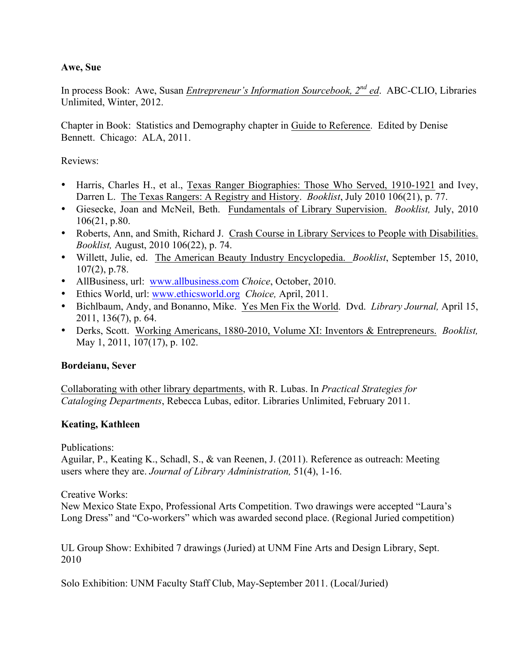## **Awe, Sue**

In process Book: Awe, Susan *Entrepreneur's Information Sourcebook, 2nd ed*. ABC-CLIO, Libraries Unlimited, Winter, 2012.

Chapter in Book: Statistics and Demography chapter in Guide to Reference. Edited by Denise Bennett. Chicago: ALA, 2011.

Reviews:

- Harris, Charles H., et al., Texas Ranger Biographies: Those Who Served, 1910-1921 and Ivey, Darren L. The Texas Rangers: A Registry and History. *Booklist*, July 2010 106(21), p. 77.
- Giesecke, Joan and McNeil, Beth. Fundamentals of Library Supervision. *Booklist,* July, 2010 106(21, p.80.
- Roberts, Ann, and Smith, Richard J. Crash Course in Library Services to People with Disabilities. *Booklist,* August, 2010 106(22), p. 74.
- Willett, Julie, ed. The American Beauty Industry Encyclopedia. *Booklist*, September 15, 2010, 107(2), p.78.
- AllBusiness, url: www.allbusiness.com *Choice*, October, 2010.
- Ethics World, url: www.ethicsworld.org *Choice,* April, 2011.
- Bichlbaum, Andy, and Bonanno, Mike. Yes Men Fix the World. Dvd. *Library Journal,* April 15, 2011, 136(7), p. 64.
- Derks, Scott. Working Americans, 1880-2010, Volume XI: Inventors & Entrepreneurs. *Booklist,* May 1, 2011, 107(17), p. 102.

## **Bordeianu, Sever**

Collaborating with other library departments, with R. Lubas. In *Practical Strategies for Cataloging Departments*, Rebecca Lubas, editor. Libraries Unlimited, February 2011.

## **Keating, Kathleen**

Publications:

Aguilar, P., Keating K., Schadl, S., & van Reenen, J. (2011). Reference as outreach: Meeting users where they are. *Journal of Library Administration,* 51(4), 1-16.

Creative Works:

New Mexico State Expo, Professional Arts Competition. Two drawings were accepted "Laura's Long Dress" and "Co-workers" which was awarded second place. (Regional Juried competition)

UL Group Show: Exhibited 7 drawings (Juried) at UNM Fine Arts and Design Library, Sept. 2010

Solo Exhibition: UNM Faculty Staff Club, May-September 2011. (Local/Juried)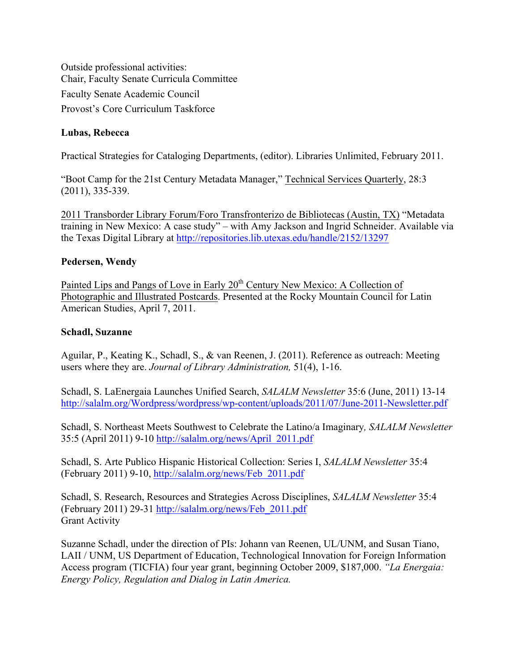Outside professional activities: Chair, Faculty Senate Curricula Committee Faculty Senate Academic Council Provost's Core Curriculum Taskforce

## **Lubas, Rebecca**

Practical Strategies for Cataloging Departments, (editor). Libraries Unlimited, February 2011.

"Boot Camp for the 21st Century Metadata Manager," Technical Services Quarterly, 28:3 (2011), 335-339.

2011 Transborder Library Forum/Foro Transfronterizo de Bibliotecas (Austin, TX) "Metadata training in New Mexico: A case study" – with Amy Jackson and Ingrid Schneider. Available via the Texas Digital Library at http://repositories.lib.utexas.edu/handle/2152/13297

#### **Pedersen, Wendy**

Painted Lips and Pangs of Love in Early 20<sup>th</sup> Century New Mexico: A Collection of Photographic and Illustrated Postcards. Presented at the Rocky Mountain Council for Latin American Studies, April 7, 2011.

#### **Schadl, Suzanne**

Aguilar, P., Keating K., Schadl, S., & van Reenen, J. (2011). Reference as outreach: Meeting users where they are. *Journal of Library Administration,* 51(4), 1-16.

Schadl, S. LaEnergaia Launches Unified Search, *SALALM Newsletter* 35:6 (June, 2011) 13-14 http://salalm.org/Wordpress/wordpress/wp-content/uploads/2011/07/June-2011-Newsletter.pdf

Schadl, S. Northeast Meets Southwest to Celebrate the Latino/a Imaginary*, SALALM Newsletter* 35:5 (April 2011) 9-10 http://salalm.org/news/April\_2011.pdf

Schadl, S. Arte Publico Hispanic Historical Collection: Series I, *SALALM Newsletter* 35:4 (February 2011) 9-10, http://salalm.org/news/Feb\_2011.pdf

Schadl, S. Research, Resources and Strategies Across Disciplines, *SALALM Newsletter* 35:4 (February 2011) 29-31 http://salalm.org/news/Feb\_2011.pdf Grant Activity

Suzanne Schadl, under the direction of PIs: Johann van Reenen, UL/UNM, and Susan Tiano, LAII / UNM, US Department of Education, Technological Innovation for Foreign Information Access program (TICFIA) four year grant, beginning October 2009, \$187,000. *"La Energaia: Energy Policy, Regulation and Dialog in Latin America.*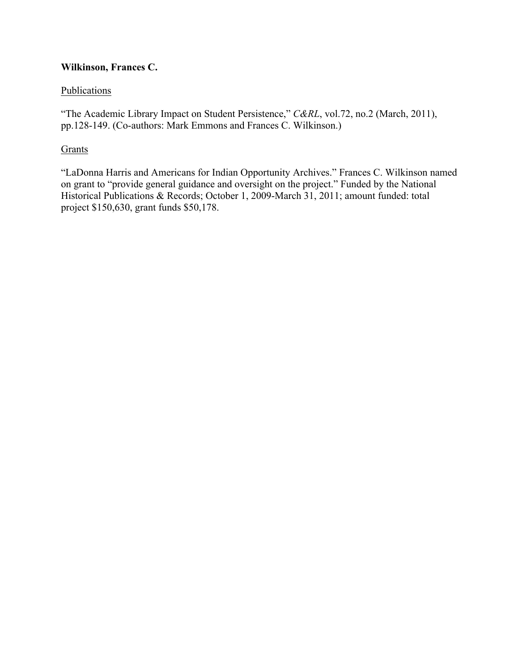## **Wilkinson, Frances C.**

## **Publications**

"The Academic Library Impact on Student Persistence," *C&RL*, vol.72, no.2 (March, 2011), pp.128-149. (Co-authors: Mark Emmons and Frances C. Wilkinson.)

## Grants

"LaDonna Harris and Americans for Indian Opportunity Archives." Frances C. Wilkinson named on grant to "provide general guidance and oversight on the project." Funded by the National Historical Publications & Records; October 1, 2009-March 31, 2011; amount funded: total project \$150,630, grant funds \$50,178.